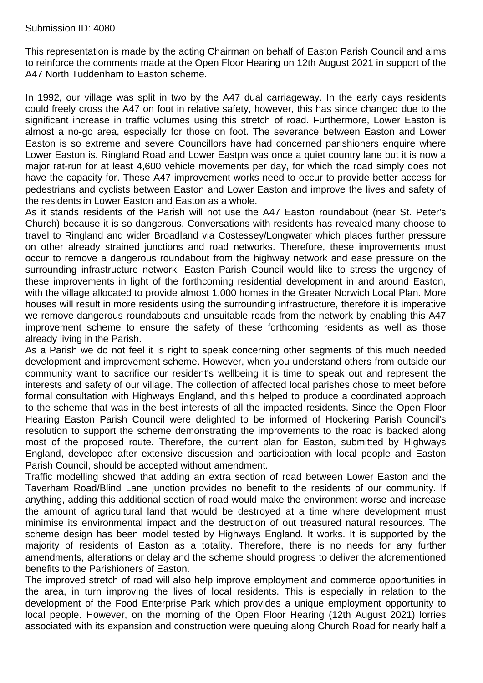## Submission ID: 4080

This representation is made by the acting Chairman on behalf of Easton Parish Council and aims to reinforce the comments made at the Open Floor Hearing on 12th August 2021 in support of the A47 North Tuddenham to Easton scheme.

In 1992, our village was split in two by the A47 dual carriageway. In the early days residents could freely cross the A47 on foot in relative safety, however, this has since changed due to the significant increase in traffic volumes using this stretch of road. Furthermore, Lower Easton is almost a no-go area, especially for those on foot. The severance between Easton and Lower Easton is so extreme and severe Councillors have had concerned parishioners enquire where Lower Easton is. Ringland Road and Lower Eastpn was once a quiet country lane but it is now a major rat-run for at least 4,600 vehicle movements per day, for which the road simply does not have the capacity for. These A47 improvement works need to occur to provide better access for pedestrians and cyclists between Easton and Lower Easton and improve the lives and safety of the residents in Lower Easton and Easton as a whole.

As it stands residents of the Parish will not use the A47 Easton roundabout (near St. Peter's Church) because it is so dangerous. Conversations with residents has revealed many choose to travel to Ringland and wider Broadland via Costessey/Longwater which places further pressure on other already strained junctions and road networks. Therefore, these improvements must occur to remove a dangerous roundabout from the highway network and ease pressure on the surrounding infrastructure network. Easton Parish Council would like to stress the urgency of these improvements in light of the forthcoming residential development in and around Easton, with the village allocated to provide almost 1,000 homes in the Greater Norwich Local Plan. More houses will result in more residents using the surrounding infrastructure, therefore it is imperative we remove dangerous roundabouts and unsuitable roads from the network by enabling this A47 improvement scheme to ensure the safety of these forthcoming residents as well as those already living in the Parish.

As a Parish we do not feel it is right to speak concerning other segments of this much needed development and improvement scheme. However, when you understand others from outside our community want to sacrifice our resident's wellbeing it is time to speak out and represent the interests and safety of our village. The collection of affected local parishes chose to meet before formal consultation with Highways England, and this helped to produce a coordinated approach to the scheme that was in the best interests of all the impacted residents. Since the Open Floor Hearing Easton Parish Council were delighted to be informed of Hockering Parish Council's resolution to support the scheme demonstrating the improvements to the road is backed along most of the proposed route. Therefore, the current plan for Easton, submitted by Highways England, developed after extensive discussion and participation with local people and Easton Parish Council, should be accepted without amendment.

Traffic modelling showed that adding an extra section of road between Lower Easton and the Taverham Road/Blind Lane junction provides no benefit to the residents of our community. If anything, adding this additional section of road would make the environment worse and increase the amount of agricultural land that would be destroyed at a time where development must minimise its environmental impact and the destruction of out treasured natural resources. The scheme design has been model tested by Highways England. It works. It is supported by the majority of residents of Easton as a totality. Therefore, there is no needs for any further amendments, alterations or delay and the scheme should progress to deliver the aforementioned benefits to the Parishioners of Easton.

The improved stretch of road will also help improve employment and commerce opportunities in the area, in turn improving the lives of local residents. This is especially in relation to the development of the Food Enterprise Park which provides a unique employment opportunity to local people. However, on the morning of the Open Floor Hearing (12th August 2021) lorries associated with its expansion and construction were queuing along Church Road for nearly half a